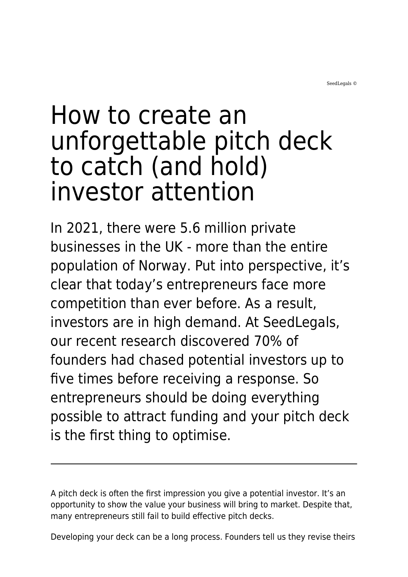SeedLegals ©

# How to create an unforgettable pitch deck to catch (and hold) investor attention

In 2021, there were 5.6 million private businesses in the UK - more than the entire population of Norway. Put into perspective, it's clear that today's entrepreneurs face more competition than ever before. As a result, investors are in high demand. At SeedLegals, our recent research discovered 70% of founders had chased potential investors up to five times before receiving a response. So entrepreneurs should be doing everything possible to attract funding and your pitch deck is the first thing to optimise.

A pitch deck is often the first impression you give a potential investor. It's an opportunity to show the value your business will bring to market. Despite that, many entrepreneurs still fail to build effective pitch decks.

Developing your deck can be a long process. Founders tell us they revise theirs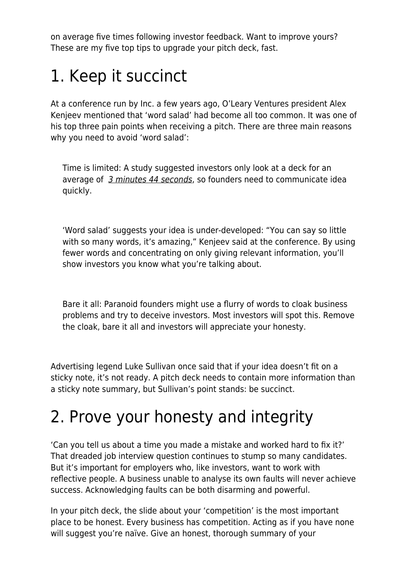on average five times following investor feedback. Want to improve yours? These are my five top tips to upgrade your pitch deck, fast.

# 1. Keep it succinct

At a conference run by Inc. a few years ago, O'Leary Ventures president Alex Kenjeev mentioned that 'word salad' had become all too common. It was one of his top three pain points when receiving a pitch. There are three main reasons why you need to avoid 'word salad':

Time is limited: A study suggested investors only look at a deck for an average of [3 minutes 44 seconds](https://docsend.com/view/p8jxsqr), so founders need to communicate idea quickly.

'Word salad' suggests your idea is under-developed: "You can say so little with so many words, it's amazing," Kenjeev said at the conference. By using fewer words and concentrating on only giving relevant information, you'll show investors you know what you're talking about.

Bare it all: Paranoid founders might use a flurry of words to cloak business problems and try to deceive investors. Most investors will spot this. Remove the cloak, bare it all and investors will appreciate your honesty.

Advertising legend Luke Sullivan once said that if your idea doesn't fit on a sticky note, it's not ready. A pitch deck needs to contain more information than a sticky note summary, but Sullivan's point stands: be succinct.

## 2. Prove your honesty and integrity

'Can you tell us about a time you made a mistake and worked hard to fix it?' That dreaded job interview question continues to stump so many candidates. But it's important for employers who, like investors, want to work with reflective people. A business unable to analyse its own faults will never achieve success. Acknowledging faults can be both disarming and powerful.

In your pitch deck, the slide about your 'competition' is the most important place to be honest. Every business has competition. Acting as if you have none will suggest you're naïve. Give an honest, thorough summary of your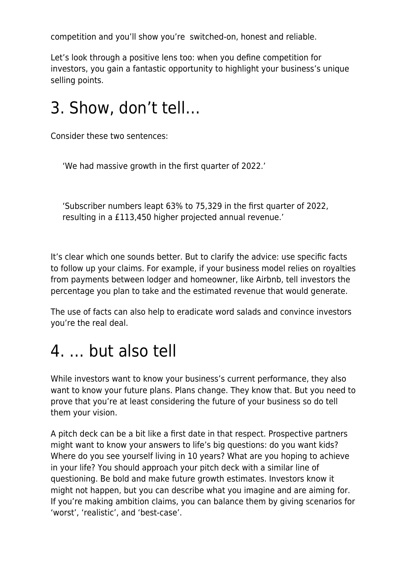competition and you'll show you're switched-on, honest and reliable.

Let's look through a positive lens too: when you define competition for investors, you gain a fantastic opportunity to highlight your business's unique selling points.

#### 3. Show, don't tell…

Consider these two sentences:

'We had massive growth in the first quarter of 2022.'

'Subscriber numbers leapt 63% to 75,329 in the first quarter of 2022, resulting in a £113,450 higher projected annual revenue.'

It's clear which one sounds better. But to clarify the advice: use specific facts to follow up your claims. For example, if your business model relies on royalties from payments between lodger and homeowner, like Airbnb, tell investors the percentage you plan to take and the estimated revenue that would generate.

The use of facts can also help to eradicate word salads and convince investors you're the real deal.

## 4. … but also tell

While investors want to know your business's current performance, they also want to know your future plans. Plans change. They know that. But you need to prove that you're at least considering the future of your business so do tell them your vision.

A pitch deck can be a bit like a first date in that respect. Prospective partners might want to know your answers to life's big questions: do you want kids? Where do you see yourself living in 10 years? What are you hoping to achieve in your life? You should approach your pitch deck with a similar line of questioning. Be bold and make future growth estimates. Investors know it might not happen, but you can describe what you imagine and are aiming for. If you're making ambition claims, you can balance them by giving scenarios for 'worst', 'realistic', and 'best-case'.